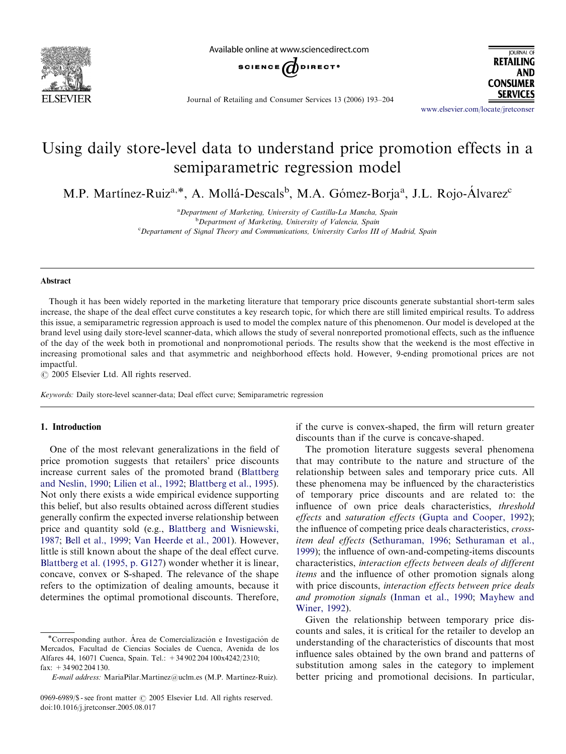

Available online at www.sciencedirect.com



**IOURNAL OF RETAILING AND CONSUMER SERVICES** 

Journal of Retailing and Consumer Services 13 (2006) 193–204

<www.elsevier.com/locate/jretconser>

# Using daily store-level data to understand price promotion effects in a semiparametric regression model

M.P. Martínez-Ruiz<sup>a,\*</sup>, A. Mollá-Descals<sup>b</sup>, M.A. Gómez-Borja<sup>a</sup>, J.L. Rojo-Álvarez<sup>c</sup>

<sup>a</sup> Department of Marketing, University of Castilla-La Mancha, Spain **b** Department of Marketing, University of Valencia, Spain <sup>c</sup>Departament of Signal Theory and Communications, University Carlos III of Madrid, Spain

#### Abstract

Though it has been widely reported in the marketing literature that temporary price discounts generate substantial short-term sales increase, the shape of the deal effect curve constitutes a key research topic, for which there are still limited empirical results. To address this issue, a semiparametric regression approach is used to model the complex nature of this phenomenon. Our model is developed at the brand level using daily store-level scanner-data, which allows the study of several nonreported promotional effects, such as the influence of the day of the week both in promotional and nonpromotional periods. The results show that the weekend is the most effective in increasing promotional sales and that asymmetric and neighborhood effects hold. However, 9-ending promotional prices are not impactful.

 $\odot$  2005 Elsevier Ltd. All rights reserved.

Keywords: Daily store-level scanner-data; Deal effect curve; Semiparametric regression

#### 1. Introduction

One of the most relevant generalizations in the field of price promotion suggests that retailers' price discounts increase current sales of the promoted brand ([Blattberg](#page-11-0) [and Neslin, 1990](#page-11-0); [Lilien et al., 1992](#page-11-0); [Blattberg et al., 1995\)](#page-11-0). Not only there exists a wide empirical evidence supporting this belief, but also results obtained across different studies generally confirm the expected inverse relationship between price and quantity sold (e.g., [Blattberg and Wisniewski,](#page-11-0) [1987](#page-11-0); [Bell et al., 1999](#page-11-0); [Van Heerde et al., 2001](#page-11-0)). However, little is still known about the shape of the deal effect curve. [Blattberg et al. \(1995, p. G127](#page-11-0)) wonder whether it is linear, concave, convex or S-shaped. The relevance of the shape refers to the optimization of dealing amounts, because it determines the optimal promotional discounts. Therefore,

if the curve is convex-shaped, the firm will return greater discounts than if the curve is concave-shaped.

The promotion literature suggests several phenomena that may contribute to the nature and structure of the relationship between sales and temporary price cuts. All these phenomena may be influenced by the characteristics of temporary price discounts and are related to: the influence of own price deals characteristics, threshold effects and saturation effects ([Gupta and Cooper, 1992\)](#page-11-0); the influence of competing price deals characteristics, crossitem deal effects [\(Sethuraman, 1996;](#page-11-0) [Sethuraman et al.,](#page-11-0) [1999](#page-11-0)); the influence of own-and-competing-items discounts characteristics, interaction effects between deals of different items and the influence of other promotion signals along with price discounts, interaction effects between price deals and promotion signals ([Inman et al., 1990;](#page-11-0) [Mayhew and](#page-11-0) [Winer, 1992\)](#page-11-0).

Given the relationship between temporary price discounts and sales, it is critical for the retailer to develop an understanding of the characteristics of discounts that most influence sales obtained by the own brand and patterns of substitution among sales in the category to implement better pricing and promotional decisions. In particular,

<sup>\*</sup>Corresponding author. Área de Comercialización e Investigación de Mercados, Facultad de Ciencias Sociales de Cuenca, Avenida de los Alfares 44, 16071 Cuenca, Spain. Tel.: +34 902 204 100x4242/2310; fax: +34 902 204 130.

E-mail address: MariaPilar.Martinez@uclm.es (M.P. Martínez-Ruiz).

<sup>0969-6989/\$ -</sup> see front matter © 2005 Elsevier Ltd. All rights reserved. doi:10.1016/j.jretconser.2005.08.017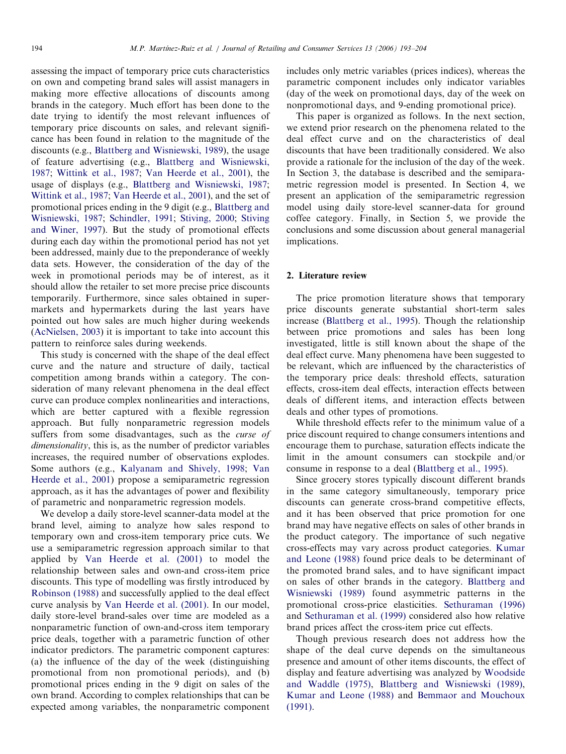assessing the impact of temporary price cuts characteristics on own and competing brand sales will assist managers in making more effective allocations of discounts among brands in the category. Much effort has been done to the date trying to identify the most relevant influences of temporary price discounts on sales, and relevant significance has been found in relation to the magnitude of the discounts (e.g., [Blattberg and Wisniewski, 1989\)](#page-11-0), the usage of feature advertising (e.g., [Blattberg and Wisniewski,](#page-11-0) [1987;](#page-11-0) [Wittink et al., 1987;](#page-11-0) [Van Heerde et al., 2001](#page-11-0)), the usage of displays (e.g., [Blattberg and Wisniewski, 1987](#page-11-0); [Wittink et al., 1987;](#page-11-0) [Van Heerde et al., 2001](#page-11-0)), and the set of promotional prices ending in the 9 digit (e.g., [Blattberg and](#page-11-0) [Wisniewski, 1987](#page-11-0); [Schindler, 1991;](#page-11-0) [Stiving, 2000;](#page-11-0) [Stiving](#page-11-0) [and Winer, 1997](#page-11-0)). But the study of promotional effects during each day within the promotional period has not yet been addressed, mainly due to the preponderance of weekly data sets. However, the consideration of the day of the week in promotional periods may be of interest, as it should allow the retailer to set more precise price discounts temporarily. Furthermore, since sales obtained in supermarkets and hypermarkets during the last years have pointed out how sales are much higher during weekends [\(AcNielsen, 2003\)](#page-11-0) it is important to take into account this pattern to reinforce sales during weekends.

This study is concerned with the shape of the deal effect curve and the nature and structure of daily, tactical competition among brands within a category. The consideration of many relevant phenomena in the deal effect curve can produce complex nonlinearities and interactions, which are better captured with a flexible regression approach. But fully nonparametric regression models suffers from some disadvantages, such as the curse of dimensionality, this is, as the number of predictor variables increases, the required number of observations explodes. Some authors (e.g., [Kalyanam and Shively, 1998;](#page-11-0) [Van](#page-11-0) [Heerde et al., 2001\)](#page-11-0) propose a semiparametric regression approach, as it has the advantages of power and flexibility of parametric and nonparametric regression models.

We develop a daily store-level scanner-data model at the brand level, aiming to analyze how sales respond to temporary own and cross-item temporary price cuts. We use a semiparametric regression approach similar to that applied by [Van Heerde et al. \(2001\)](#page-11-0) to model the relationship between sales and own-and cross-item price discounts. This type of modelling was firstly introduced by [Robinson \(1988\)](#page-11-0) and successfully applied to the deal effect curve analysis by [Van Heerde et al. \(2001\)](#page-11-0). In our model, daily store-level brand-sales over time are modeled as a nonparametric function of own-and-cross item temporary price deals, together with a parametric function of other indicator predictors. The parametric component captures: (a) the influence of the day of the week (distinguishing promotional from non promotional periods), and (b) promotional prices ending in the 9 digit on sales of the own brand. According to complex relationships that can be expected among variables, the nonparametric component includes only metric variables (prices indices), whereas the parametric component includes only indicator variables (day of the week on promotional days, day of the week on nonpromotional days, and 9-ending promotional price).

This paper is organized as follows. In the next section, we extend prior research on the phenomena related to the deal effect curve and on the characteristics of deal discounts that have been traditionally considered. We also provide a rationale for the inclusion of the day of the week. In Section 3, the database is described and the semiparametric regression model is presented. In Section 4, we present an application of the semiparametric regression model using daily store-level scanner-data for ground coffee category. Finally, in Section 5, we provide the conclusions and some discussion about general managerial implications.

#### 2. Literature review

The price promotion literature shows that temporary price discounts generate substantial short-term sales increase [\(Blattberg et al., 1995\)](#page-11-0). Though the relationship between price promotions and sales has been long investigated, little is still known about the shape of the deal effect curve. Many phenomena have been suggested to be relevant, which are influenced by the characteristics of the temporary price deals: threshold effects, saturation effects, cross-item deal effects, interaction effects between deals of different items, and interaction effects between deals and other types of promotions.

While threshold effects refer to the minimum value of a price discount required to change consumers intentions and encourage them to purchase, saturation effects indicate the limit in the amount consumers can stockpile and/or consume in response to a deal ([Blattberg et al., 1995](#page-11-0)).

Since grocery stores typically discount different brands in the same category simultaneously, temporary price discounts can generate cross-brand competitive effects, and it has been observed that price promotion for one brand may have negative effects on sales of other brands in the product category. The importance of such negative cross-effects may vary across product categories. [Kumar](#page-11-0) [and Leone \(1988\)](#page-11-0) found price deals to be determinant of the promoted brand sales, and to have significant impact on sales of other brands in the category. [Blattberg and](#page-11-0) [Wisniewski \(1989\)](#page-11-0) found asymmetric patterns in the promotional cross-price elasticities. [Sethuraman \(1996\)](#page-11-0) and [Sethuraman et al. \(1999\)](#page-11-0) considered also how relative brand prices affect the cross-item price cut effects.

Though previous research does not address how the shape of the deal curve depends on the simultaneous presence and amount of other items discounts, the effect of display and feature advertising was analyzed by [Woodside](#page-11-0) [and Waddle \(1975\)](#page-11-0), [Blattberg and Wisniewski \(1989\)](#page-11-0), [Kumar and Leone \(1988\)](#page-11-0) and [Bemmaor and Mouchoux](#page-11-0) [\(1991\)](#page-11-0).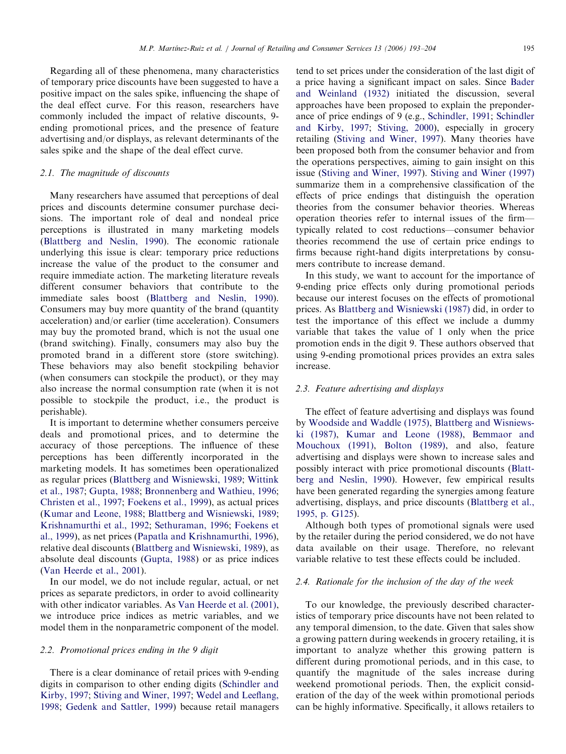Regarding all of these phenomena, many characteristics of temporary price discounts have been suggested to have a positive impact on the sales spike, influencing the shape of the deal effect curve. For this reason, researchers have commonly included the impact of relative discounts, 9 ending promotional prices, and the presence of feature advertising and/or displays, as relevant determinants of the sales spike and the shape of the deal effect curve.

# 2.1. The magnitude of discounts

Many researchers have assumed that perceptions of deal prices and discounts determine consumer purchase decisions. The important role of deal and nondeal price perceptions is illustrated in many marketing models ([Blattberg and Neslin, 1990](#page-11-0)). The economic rationale underlying this issue is clear: temporary price reductions increase the value of the product to the consumer and require immediate action. The marketing literature reveals different consumer behaviors that contribute to the immediate sales boost ([Blattberg and Neslin, 1990\)](#page-11-0). Consumers may buy more quantity of the brand (quantity acceleration) and/or earlier (time acceleration). Consumers may buy the promoted brand, which is not the usual one (brand switching). Finally, consumers may also buy the promoted brand in a different store (store switching). These behaviors may also benefit stockpiling behavior (when consumers can stockpile the product), or they may also increase the normal consumption rate (when it is not possible to stockpile the product, i.e., the product is perishable).

It is important to determine whether consumers perceive deals and promotional prices, and to determine the accuracy of those perceptions. The influence of these perceptions has been differently incorporated in the marketing models. It has sometimes been operationalized as regular prices ([Blattberg and Wisniewski, 1989;](#page-11-0) [Wittink](#page-11-0) [et al., 1987;](#page-11-0) [Gupta, 1988;](#page-11-0) [Bronnenberg and Wathieu, 1996;](#page-11-0) [Christen et al., 1997](#page-11-0); [Foekens et al., 1999](#page-11-0)), as actual prices ([Kumar and Leone, 1988](#page-11-0); [Blattberg and Wisniewski, 1989;](#page-11-0) [Krishnamurthi et al., 1992;](#page-11-0) [Sethuraman, 1996;](#page-11-0) [Foekens et](#page-11-0) [al., 1999](#page-11-0)), as net prices ([Papatla and Krishnamurthi, 1996\)](#page-11-0), relative deal discounts [\(Blattberg and Wisniewski, 1989](#page-11-0)), as absolute deal discounts ([Gupta, 1988\)](#page-11-0) or as price indices ([Van Heerde et al., 2001](#page-11-0)).

In our model, we do not include regular, actual, or net prices as separate predictors, in order to avoid collinearity with other indicator variables. As [Van Heerde et al. \(2001\),](#page-11-0) we introduce price indices as metric variables, and we model them in the nonparametric component of the model.

# 2.2. Promotional prices ending in the 9 digit

There is a clear dominance of retail prices with 9-ending digits in comparison to other ending digits [\(Schindler and](#page-11-0) [Kirby, 1997](#page-11-0); [Stiving and Winer, 1997](#page-11-0); [Wedel and Leeflang,](#page-11-0) [1998](#page-11-0); [Gedenk and Sattler, 1999](#page-11-0)) because retail managers tend to set prices under the consideration of the last digit of a price having a significant impact on sales. Since [Bader](#page-11-0) [and Weinland \(1932\)](#page-11-0) initiated the discussion, several approaches have been proposed to explain the preponderance of price endings of 9 (e.g., [Schindler, 1991;](#page-11-0) [Schindler](#page-11-0) [and Kirby, 1997](#page-11-0); [Stiving, 2000](#page-11-0)), especially in grocery retailing ([Stiving and Winer, 1997\)](#page-11-0). Many theories have been proposed both from the consumer behavior and from the operations perspectives, aiming to gain insight on this issue ([Stiving and Winer, 1997\)](#page-11-0). [Stiving and Winer \(1997\)](#page-11-0) summarize them in a comprehensive classification of the effects of price endings that distinguish the operation theories from the consumer behavior theories. Whereas operation theories refer to internal issues of the firm typically related to cost reductions—consumer behavior theories recommend the use of certain price endings to firms because right-hand digits interpretations by consumers contribute to increase demand.

In this study, we want to account for the importance of 9-ending price effects only during promotional periods because our interest focuses on the effects of promotional prices. As [Blattberg and Wisniewski \(1987\)](#page-11-0) did, in order to test the importance of this effect we include a dummy variable that takes the value of 1 only when the price promotion ends in the digit 9. These authors observed that using 9-ending promotional prices provides an extra sales increase.

# 2.3. Feature advertising and displays

The effect of feature advertising and displays was found by [Woodside and Waddle \(1975\)](#page-11-0), [Blattberg and Wisniews](#page-11-0)[ki \(1987\),](#page-11-0) [Kumar and Leone \(1988\),](#page-11-0) [Bemmaor and](#page-11-0) [Mouchoux \(1991\)](#page-11-0), [Bolton \(1989\),](#page-11-0) and also, feature advertising and displays were shown to increase sales and possibly interact with price promotional discounts [\(Blatt](#page-11-0)[berg and Neslin, 1990](#page-11-0)). However, few empirical results have been generated regarding the synergies among feature advertising, displays, and price discounts [\(Blattberg et al.,](#page-11-0) [1995, p. G125](#page-11-0)).

Although both types of promotional signals were used by the retailer during the period considered, we do not have data available on their usage. Therefore, no relevant variable relative to test these effects could be included.

## 2.4. Rationale for the inclusion of the day of the week

To our knowledge, the previously described characteristics of temporary price discounts have not been related to any temporal dimension, to the date. Given that sales show a growing pattern during weekends in grocery retailing, it is important to analyze whether this growing pattern is different during promotional periods, and in this case, to quantify the magnitude of the sales increase during weekend promotional periods. Then, the explicit consideration of the day of the week within promotional periods can be highly informative. Specifically, it allows retailers to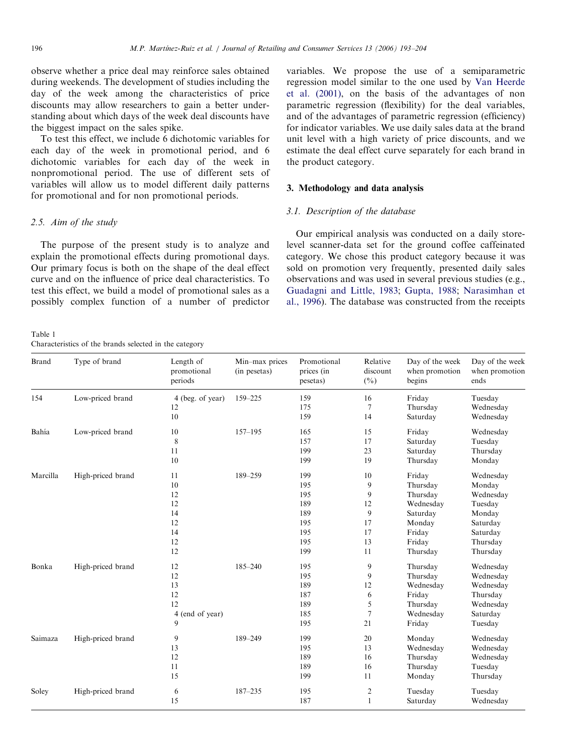<span id="page-3-0"></span>observe whether a price deal may reinforce sales obtained during weekends. The development of studies including the day of the week among the characteristics of price discounts may allow researchers to gain a better understanding about which days of the week deal discounts have the biggest impact on the sales spike.

To test this effect, we include 6 dichotomic variables for each day of the week in promotional period, and 6 dichotomic variables for each day of the week in nonpromotional period. The use of different sets of variables will allow us to model different daily patterns for promotional and for non promotional periods.

### 2.5. Aim of the study

The purpose of the present study is to analyze and explain the promotional effects during promotional days. Our primary focus is both on the shape of the deal effect curve and on the influence of price deal characteristics. To test this effect, we build a model of promotional sales as a possibly complex function of a number of predictor

Table 1 Characteristics of the brands selected in the category

variables. We propose the use of a semiparametric regression model similar to the one used by [Van Heerde](#page-11-0) [et al. \(2001\)](#page-11-0), on the basis of the advantages of non parametric regression (flexibility) for the deal variables, and of the advantages of parametric regression (efficiency) for indicator variables. We use daily sales data at the brand unit level with a high variety of price discounts, and we estimate the deal effect curve separately for each brand in the product category.

# 3. Methodology and data analysis

#### 3.1. Description of the database

Our empirical analysis was conducted on a daily storelevel scanner-data set for the ground coffee caffeinated category. We chose this product category because it was sold on promotion very frequently, presented daily sales observations and was used in several previous studies (e.g., [Guadagni and Little, 1983](#page-11-0); [Gupta, 1988;](#page-11-0) [Narasimhan et](#page-11-0) [al., 1996](#page-11-0)). The database was constructed from the receipts

| <b>Brand</b> | Type of brand     | Length of<br>promotional<br>periods | Min-max prices<br>(in pesetas) | Promotional<br>prices (in<br>pesetas) | Relative<br>discount<br>$(\%)$ | Day of the week<br>when promotion<br>begins | Day of the week<br>when promotion<br>ends |
|--------------|-------------------|-------------------------------------|--------------------------------|---------------------------------------|--------------------------------|---------------------------------------------|-------------------------------------------|
| 154          | Low-priced brand  | 4 (beg. of year)                    | 159-225                        | 159                                   | 16                             | Friday                                      | Tuesday                                   |
|              |                   | 12                                  |                                | 175                                   | $\tau$                         | Thursday                                    | Wednesday                                 |
|              |                   | 10                                  |                                | 159                                   | 14                             | Saturday                                    | Wednesday                                 |
| Bahía        | Low-priced brand  | 10                                  | $157 - 195$                    | 165                                   | 15                             | Friday                                      | Wednesday                                 |
|              |                   | 8                                   |                                | 157                                   | 17                             | Saturday                                    | Tuesday                                   |
|              |                   | 11                                  |                                | 199                                   | 23                             | Saturday                                    | Thursday                                  |
|              |                   | 10                                  |                                | 199                                   | 19                             | Thursday                                    | Monday                                    |
| Marcilla     | High-priced brand | 11                                  | 189-259                        | 199                                   | 10                             | Friday                                      | Wednesday                                 |
|              |                   | 10                                  |                                | 195                                   | 9                              | Thursday                                    | Monday                                    |
|              |                   | 12                                  |                                | 195                                   | 9                              | Thursday                                    | Wednesday                                 |
|              |                   | 12                                  |                                | 189                                   | 12                             | Wednesday                                   | Tuesday                                   |
|              |                   | 14                                  |                                | 189                                   | 9                              | Saturday                                    | Monday                                    |
|              |                   | 12                                  |                                | 195                                   | 17                             | Monday                                      | Saturday                                  |
|              |                   | 14                                  |                                | 195                                   | 17                             | Friday                                      | Saturday                                  |
|              |                   | 12                                  |                                | 195                                   | 13                             | Friday                                      | Thursday                                  |
|              |                   | 12                                  |                                | 199                                   | 11                             | Thursday                                    | Thursday                                  |
| Bonka        | High-priced brand | 12                                  | $185 - 240$                    | 195                                   | 9                              | Thursday                                    | Wednesday                                 |
|              |                   | 12                                  |                                | 195                                   | 9                              | Thursday                                    | Wednesday                                 |
|              |                   | 13                                  |                                | 189                                   | 12                             | Wednesday                                   | Wednesday                                 |
|              |                   | 12                                  |                                | 187                                   | 6                              | Friday                                      | Thursday                                  |
|              |                   | 12                                  |                                | 189                                   | $\sqrt{5}$                     | Thursday                                    | Wednesday                                 |
|              |                   | 4 (end of year)                     |                                | 185                                   | $\overline{7}$                 | Wednesday                                   | Saturday                                  |
|              |                   | 9                                   |                                | 195                                   | 21                             | Friday                                      | Tuesday                                   |
| Saimaza      | High-priced brand | 9                                   | 189-249                        | 199                                   | 20                             | Monday                                      | Wednesday                                 |
|              |                   | 13                                  |                                | 195                                   | 13                             | Wednesday                                   | Wednesday                                 |
|              |                   | 12                                  |                                | 189                                   | 16                             | Thursday                                    | Wednesday                                 |
|              |                   | 11                                  |                                | 189                                   | 16                             | Thursday                                    | Tuesday                                   |
|              |                   | 15                                  |                                | 199                                   | 11                             | Monday                                      | Thursday                                  |
| Soley        | High-priced brand | 6                                   | 187-235                        | 195                                   | 2                              | Tuesday                                     | Tuesday                                   |
|              |                   | 15                                  |                                | 187                                   | $\mathbf{1}$                   | Saturday                                    | Wednesday                                 |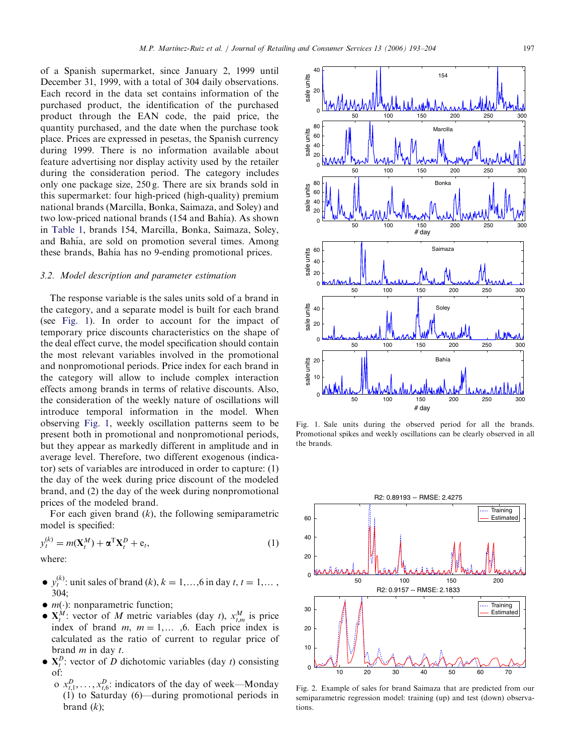<span id="page-4-0"></span>of a Spanish supermarket, since January 2, 1999 until December 31, 1999, with a total of 304 daily observations. Each record in the data set contains information of the purchased product, the identification of the purchased product through the EAN code, the paid price, the quantity purchased, and the date when the purchase took place. Prices are expressed in pesetas, the Spanish currency during 1999. There is no information available about feature advertising nor display activity used by the retailer during the consideration period. The category includes only one package size, 250 g. There are six brands sold in this supermarket: four high-priced (high-quality) premium national brands (Marcilla, Bonka, Saimaza, and Soley) and two low-priced national brands (154 and Bahía). As shown in [Table 1](#page-3-0), brands 154, Marcilla, Bonka, Saimaza, Soley, and Bahía, are sold on promotion several times. Among these brands, Bahía has no 9-ending promotional prices.

#### 3.2. Model description and parameter estimation

The response variable is the sales units sold of a brand in the category, and a separate model is built for each brand (see Fig. 1). In order to account for the impact of temporary price discounts characteristics on the shape of the deal effect curve, the model specification should contain the most relevant variables involved in the promotional and nonpromotional periods. Price index for each brand in the category will allow to include complex interaction effects among brands in terms of relative discounts. Also, the consideration of the weekly nature of oscillations will introduce temporal information in the model. When observing Fig. 1, weekly oscillation patterns seem to be present both in promotional and nonpromotional periods, but they appear as markedly different in amplitude and in average level. Therefore, two different exogenous (indicator) sets of variables are introduced in order to capture: (1) the day of the week during price discount of the modeled brand, and (2) the day of the week during nonpromotional prices of the modeled brand.

For each given brand  $(k)$ , the following semiparametric model is specified:

$$
y_t^{(k)} = m(\mathbf{X}_t^M) + \mathbf{\alpha}^{\mathrm{T}} \mathbf{X}_t^D + \mathbf{e}_t,
$$
\n(1)

where:

- $\bullet$  y<sub>t</sub><sup>(k)</sup>: unit sales of brand (k),  $k = 1,...,6$  in day t,  $t = 1,...,$ 304;
- $\bullet$  *m*(·): nonparametric function;
- $X_t^M$ : vector of M metric variables (day t),  $x_{t,m}^M$  is price index of brand  $m, m = 1,..., 6$ . Each price index is calculated as the ratio of current to regular price of brand  $m$  in day  $t$ .
- $X_t^D$ : vector of D dichotomic variables (day t) consisting of:
	- o  $x_{t,1}^D, \ldots, x_{t,6}^D$ : indicators of the day of week—Monday (1) to Saturday (6)—during promotional periods in brand  $(k)$ ;





Fig. 2. Example of sales for brand Saimaza that are predicted from our semiparametric regression model: training (up) and test (down) observations.

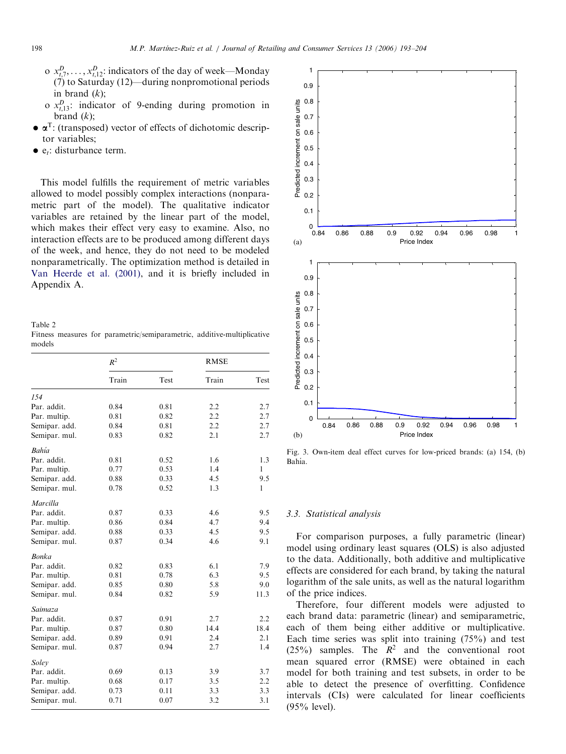- <span id="page-5-0"></span>o  $x_{t,7}^D, \ldots, x_{t,12}^D$ : indicators of the day of week—Monday (7) to Saturday (12)—during nonpromotional periods in brand  $(k)$ ;
- o  $x_{t,13}^D$ : indicator of 9-ending during promotion in brand  $(k)$ ;
- $\bullet$   $\alpha$ <sup>T</sup>: (transposed) vector of effects of dichotomic descriptor variables;
- $\bullet$  e<sub>t</sub>: disturbance term.

This model fulfills the requirement of metric variables allowed to model possibly complex interactions (nonparametric part of the model). The qualitative indicator variables are retained by the linear part of the model, which makes their effect very easy to examine. Also, no interaction effects are to be produced among different days of the week, and hence, they do not need to be modeled nonparametrically. The optimization method is detailed in [Van Heerde et al. \(2001\),](#page-11-0) and it is briefly included in Appendix A.

Table 2 Fitness measures for parametric/semiparametric, additive-multiplicative models

|               | $R^2$ |      | <b>RMSE</b> |              |  |
|---------------|-------|------|-------------|--------------|--|
|               | Train | Test | Train       | <b>Test</b>  |  |
| 154           |       |      |             |              |  |
| Par. addit.   | 0.84  | 0.81 | 2.2         | 2.7          |  |
| Par. multip.  | 0.81  | 0.82 | 2.2         | 2.7          |  |
| Semipar. add. | 0.84  | 0.81 | 2.2         | 2.7          |  |
| Semipar. mul. | 0.83  | 0.82 | 2.1         | 2.7          |  |
| <b>Bahía</b>  |       |      |             |              |  |
| Par. addit.   | 0.81  | 0.52 | 1.6         | 1.3          |  |
| Par. multip.  | 0.77  | 0.53 | 1.4         | 1            |  |
| Semipar. add. | 0.88  | 0.33 | 4.5         | 9.5          |  |
| Semipar. mul. | 0.78  | 0.52 | 1.3         | $\mathbf{1}$ |  |
| Marcilla      |       |      |             |              |  |
| Par. addit.   | 0.87  | 0.33 | 4.6         | 9.5          |  |
| Par. multip.  | 0.86  | 0.84 | 4.7         | 9.4          |  |
| Semipar. add. | 0.88  | 0.33 | 4.5         | 9.5          |  |
| Semipar. mul. | 0.87  | 0.34 | 4.6         | 9.1          |  |
| <b>Bonka</b>  |       |      |             |              |  |
| Par. addit.   | 0.82  | 0.83 | 6.1         | 7.9          |  |
| Par. multip.  | 0.81  | 0.78 | 6.3         | 9.5          |  |
| Semipar. add. | 0.85  | 0.80 | 5.8         | 9.0          |  |
| Semipar. mul. | 0.84  | 0.82 | 5.9         | 11.3         |  |
| Saimaza       |       |      |             |              |  |
| Par. addit.   | 0.87  | 0.91 | 2.7         | 2.2          |  |
| Par. multip.  | 0.87  | 0.80 | 14.4        | 18.4         |  |
| Semipar. add. | 0.89  | 0.91 | 2.4         | 2.1          |  |
| Semipar. mul. | 0.87  | 0.94 | 2.7         | 1.4          |  |
| Soley         |       |      |             |              |  |
| Par. addit.   | 0.69  | 0.13 | 3.9         | 3.7          |  |
| Par. multip.  | 0.68  | 0.17 | 3.5         | 2.2          |  |
| Semipar. add. | 0.73  | 0.11 | 3.3         | 3.3          |  |
| Semipar. mul. | 0.71  | 0.07 | 3.2         | 3.1          |  |



Fig. 3. Own-item deal effect curves for low-priced brands: (a) 154, (b) Bahía.

### 3.3. Statistical analysis

For comparison purposes, a fully parametric (linear) model using ordinary least squares (OLS) is also adjusted to the data. Additionally, both additive and multiplicative effects are considered for each brand, by taking the natural logarithm of the sale units, as well as the natural logarithm of the price indices.

Therefore, four different models were adjusted to each brand data: parametric (linear) and semiparametric, each of them being either additive or multiplicative. Each time series was split into training (75%) and test  $(25\%)$  samples. The  $R^2$  and the conventional root mean squared error (RMSE) were obtained in each model for both training and test subsets, in order to be able to detect the presence of overfitting. Confidence intervals (CIs) were calculated for linear coefficients (95% level).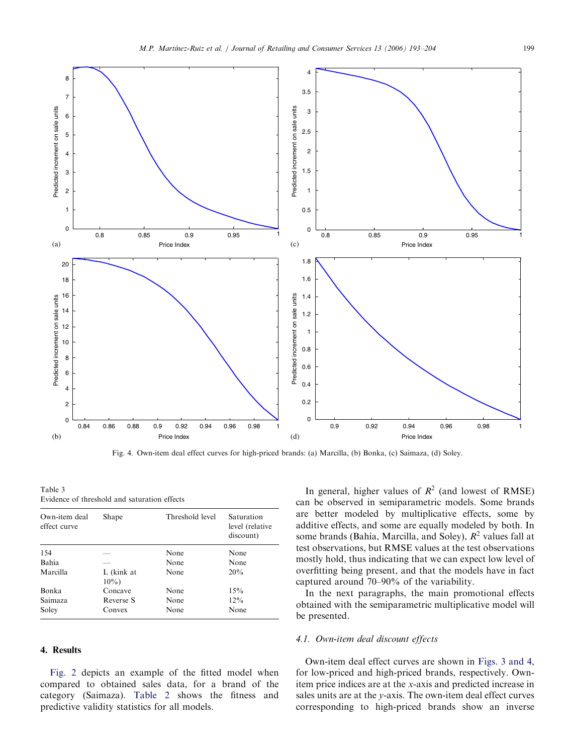<span id="page-6-0"></span>

Fig. 4. Own-item deal effect curves for high-priced brands: (a) Marcilla, (b) Bonka, (c) Saimaza, (d) Soley.

Table 3 Evidence of threshold and saturation effects

| Own-item deal<br>effect curve | Shape                  | Threshold level | Saturation<br>level (relative<br>discount) |
|-------------------------------|------------------------|-----------------|--------------------------------------------|
| 154                           |                        | None            | None                                       |
| Bahía                         |                        | None            | None                                       |
| Marcilla                      | L (kink at<br>$10\%$ ) | None            | 20%                                        |
| Bonka                         | Concave                | None            | 15%                                        |
| Saimaza                       | Reverse S              | None            | $12\%$                                     |
| Soley                         | Convex                 | None            | None                                       |

# 4. Results

[Fig. 2](#page-4-0) depicts an example of the fitted model when compared to obtained sales data, for a brand of the category (Saimaza). [Table 2](#page-5-0) shows the fitness and predictive validity statistics for all models.

In general, higher values of  $R^2$  (and lowest of RMSE) can be observed in semiparametric models. Some brands are better modeled by multiplicative effects, some by additive effects, and some are equally modeled by both. In some brands (Bahía, Marcilla, and Soley),  $R^2$  values fall at test observations, but RMSE values at the test observations mostly hold, thus indicating that we can expect low level of overfitting being present, and that the models have in fact captured around 70–90% of the variability.

In the next paragraphs, the main promotional effects obtained with the semiparametric multiplicative model will be presented.

#### 4.1. Own-item deal discount effects

Own-item deal effect curves are shown in [Figs. 3 and 4,](#page-5-0) for low-priced and high-priced brands, respectively. Ownitem price indices are at the x-axis and predicted increase in sales units are at the y-axis. The own-item deal effect curves corresponding to high-priced brands show an inverse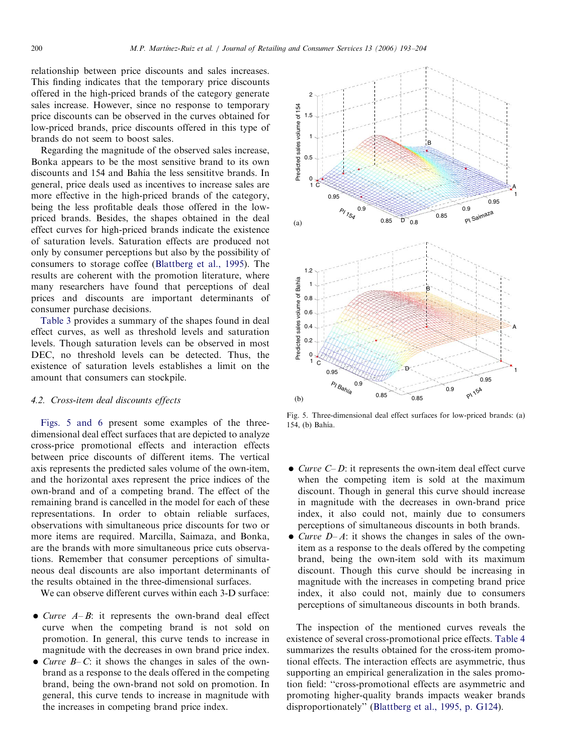relationship between price discounts and sales increases. This finding indicates that the temporary price discounts offered in the high-priced brands of the category generate sales increase. However, since no response to temporary price discounts can be observed in the curves obtained for low-priced brands, price discounts offered in this type of brands do not seem to boost sales.

Regarding the magnitude of the observed sales increase, Bonka appears to be the most sensitive brand to its own discounts and 154 and Bahía the less sensititve brands. In general, price deals used as incentives to increase sales are more effective in the high-priced brands of the category, being the less profitable deals those offered in the lowpriced brands. Besides, the shapes obtained in the deal effect curves for high-priced brands indicate the existence of saturation levels. Saturation effects are produced not only by consumer perceptions but also by the possibility of consumers to storage coffee [\(Blattberg et al., 1995\)](#page-11-0). The results are coherent with the promotion literature, where many researchers have found that perceptions of deal prices and discounts are important determinants of consumer purchase decisions.

[Table 3](#page-6-0) provides a summary of the shapes found in deal effect curves, as well as threshold levels and saturation levels. Though saturation levels can be observed in most DEC, no threshold levels can be detected. Thus, the existence of saturation levels establishes a limit on the amount that consumers can stockpile.

# 4.2. Cross-item deal discounts effects

Figs. 5 and 6 present some examples of the threedimensional deal effect surfaces that are depicted to analyze cross-price promotional effects and interaction effects between price discounts of different items. The vertical axis represents the predicted sales volume of the own-item, and the horizontal axes represent the price indices of the own-brand and of a competing brand. The effect of the remaining brand is cancelled in the model for each of these representations. In order to obtain reliable surfaces, observations with simultaneous price discounts for two or more items are required. Marcilla, Saimaza, and Bonka, are the brands with more simultaneous price cuts observations. Remember that consumer perceptions of simultaneous deal discounts are also important determinants of the results obtained in the three-dimensional surfaces.

We can observe different curves within each 3-D surface:

- *Curve*  $A-B$ : it represents the own-brand deal effect curve when the competing brand is not sold on promotion. In general, this curve tends to increase in magnitude with the decreases in own brand price index.
- *Curve B– C*: it shows the changes in sales of the ownbrand as a response to the deals offered in the competing brand, being the own-brand not sold on promotion. In general, this curve tends to increase in magnitude with the increases in competing brand price index.



Fig. 5. Three-dimensional deal effect surfaces for low-priced brands: (a) 154, (b) Bahía.

- $\bullet$  *Curve C–D*: it represents the own-item deal effect curve when the competing item is sold at the maximum discount. Though in general this curve should increase in magnitude with the decreases in own-brand price index, it also could not, mainly due to consumers perceptions of simultaneous discounts in both brands.
- *Curve D–A*: it shows the changes in sales of the ownitem as a response to the deals offered by the competing brand, being the own-item sold with its maximum discount. Though this curve should be increasing in magnitude with the increases in competing brand price index, it also could not, mainly due to consumers perceptions of simultaneous discounts in both brands.

The inspection of the mentioned curves reveals the existence of several cross-promotional price effects. [Table 4](#page-9-0) summarizes the results obtained for the cross-item promotional effects. The interaction effects are asymmetric, thus supporting an empirical generalization in the sales promotion field: ''cross-promotional effects are asymmetric and promoting higher-quality brands impacts weaker brands disproportionately'' ([Blattberg et al., 1995, p. G124](#page-11-0)).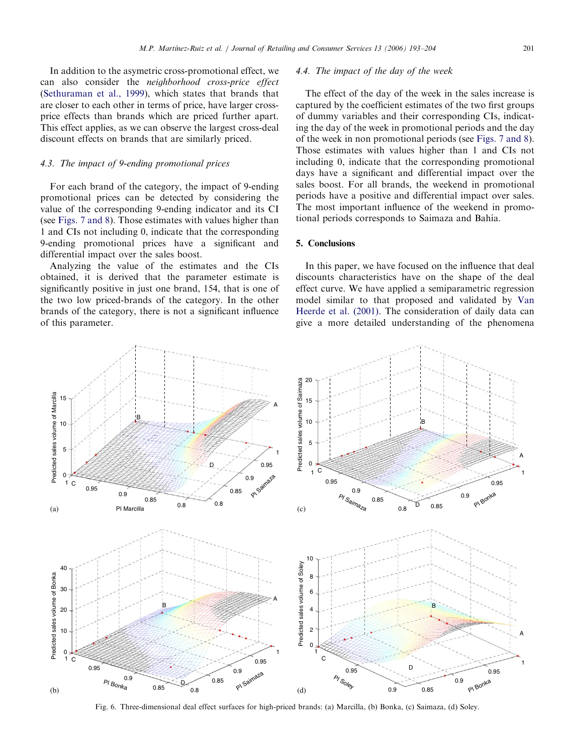In addition to the asymetric cross-promotional effect, we can also consider the neighborhood cross-price effect ([Sethuraman et al., 1999](#page-11-0)), which states that brands that are closer to each other in terms of price, have larger crossprice effects than brands which are priced further apart. This effect applies, as we can observe the largest cross-deal discount effects on brands that are similarly priced.

## 4.3. The impact of 9-ending promotional prices

For each brand of the category, the impact of 9-ending promotional prices can be detected by considering the value of the corresponding 9-ending indicator and its CI (see [Figs. 7 and 8\)](#page-9-0). Those estimates with values higher than 1 and CIs not including 0, indicate that the corresponding 9-ending promotional prices have a significant and differential impact over the sales boost.

Analyzing the value of the estimates and the CIs obtained, it is derived that the parameter estimate is significantly positive in just one brand, 154, that is one of the two low priced-brands of the category. In the other brands of the category, there is not a significant influence of this parameter.

#### 4.4. The impact of the day of the week

The effect of the day of the week in the sales increase is captured by the coefficient estimates of the two first groups of dummy variables and their corresponding CIs, indicating the day of the week in promotional periods and the day of the week in non promotional periods (see [Figs. 7 and 8\)](#page-9-0). Those estimates with values higher than 1 and CIs not including 0, indicate that the corresponding promotional days have a significant and differential impact over the sales boost. For all brands, the weekend in promotional periods have a positive and differential impact over sales. The most important influence of the weekend in promotional periods corresponds to Saimaza and Bahía.

#### 5. Conclusions

In this paper, we have focused on the influence that deal discounts characteristics have on the shape of the deal effect curve. We have applied a semiparametric regression model similar to that proposed and validated by [Van](#page-11-0) [Heerde et al. \(2001\).](#page-11-0) The consideration of daily data can give a more detailed understanding of the phenomena



Fig. 6. Three-dimensional deal effect surfaces for high-priced brands: (a) Marcilla, (b) Bonka, (c) Saimaza, (d) Soley.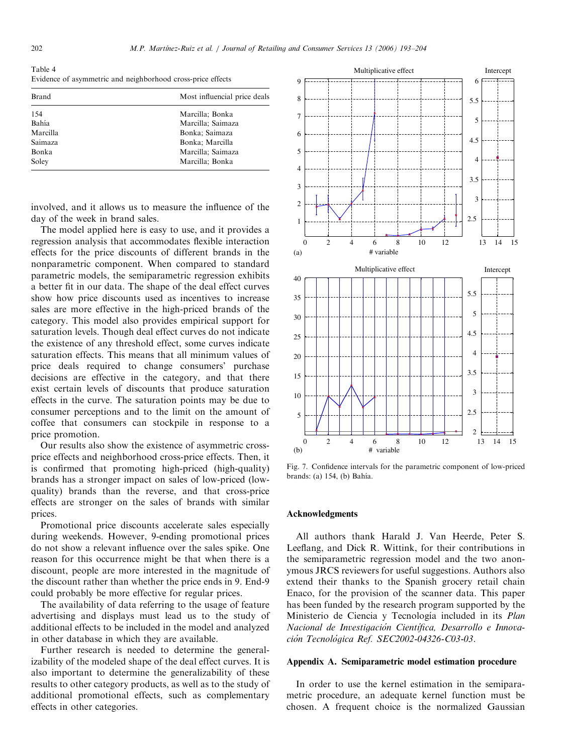<span id="page-9-0"></span>Table 4 Evidence of asymmetric and neighborhood cross-price effects

| <b>Brand</b> | Most influencial price deals |  |  |
|--------------|------------------------------|--|--|
| 154          | Marcilla; Bonka              |  |  |
| Bahía        | Marcilla; Saimaza            |  |  |
| Marcilla     | Bonka; Saimaza               |  |  |
| Saimaza      | Bonka; Marcilla              |  |  |
| Bonka        | Marcilla; Saimaza            |  |  |
| Soley        | Marcilla; Bonka              |  |  |

involved, and it allows us to measure the influence of the day of the week in brand sales.

The model applied here is easy to use, and it provides a regression analysis that accommodates flexible interaction effects for the price discounts of different brands in the nonparametric component. When compared to standard parametric models, the semiparametric regression exhibits a better fit in our data. The shape of the deal effect curves show how price discounts used as incentives to increase sales are more effective in the high-priced brands of the category. This model also provides empirical support for saturation levels. Though deal effect curves do not indicate the existence of any threshold effect, some curves indicate saturation effects. This means that all minimum values of price deals required to change consumers' purchase decisions are effective in the category, and that there exist certain levels of discounts that produce saturation effects in the curve. The saturation points may be due to consumer perceptions and to the limit on the amount of coffee that consumers can stockpile in response to a price promotion.

Our results also show the existence of asymmetric crossprice effects and neighborhood cross-price effects. Then, it is confirmed that promoting high-priced (high-quality) brands has a stronger impact on sales of low-priced (lowquality) brands than the reverse, and that cross-price effects are stronger on the sales of brands with similar prices.

Promotional price discounts accelerate sales especially during weekends. However, 9-ending promotional prices do not show a relevant influence over the sales spike. One reason for this occurrence might be that when there is a discount, people are more interested in the magnitude of the discount rather than whether the price ends in 9. End-9 could probably be more effective for regular prices.

The availability of data referring to the usage of feature advertising and displays must lead us to the study of additional effects to be included in the model and analyzed in other database in which they are available.

Further research is needed to determine the generalizability of the modeled shape of the deal effect curves. It is also important to determine the generalizability of these results to other category products, as well as to the study of additional promotional effects, such as complementary effects in other categories.



Fig. 7. Confidence intervals for the parametric component of low-priced brands: (a) 154, (b) Bahía.

#### Acknowledgments

All authors thank Harald J. Van Heerde, Peter S. Leeflang, and Dick R. Wittink, for their contributions in the semiparametric regression model and the two anonymous JRCS reviewers for useful suggestions. Authors also extend their thanks to the Spanish grocery retail chain Enaco, for the provision of the scanner data. This paper has been funded by the research program supported by the Ministerio de Ciencia y Tecnología included in its Plan Nacional de Investigación Científica, Desarrollo e Innovación Tecnológica Ref. SEC2002-04326-C03-03.

# Appendix A. Semiparametric model estimation procedure

In order to use the kernel estimation in the semiparametric procedure, an adequate kernel function must be chosen. A frequent choice is the normalized Gaussian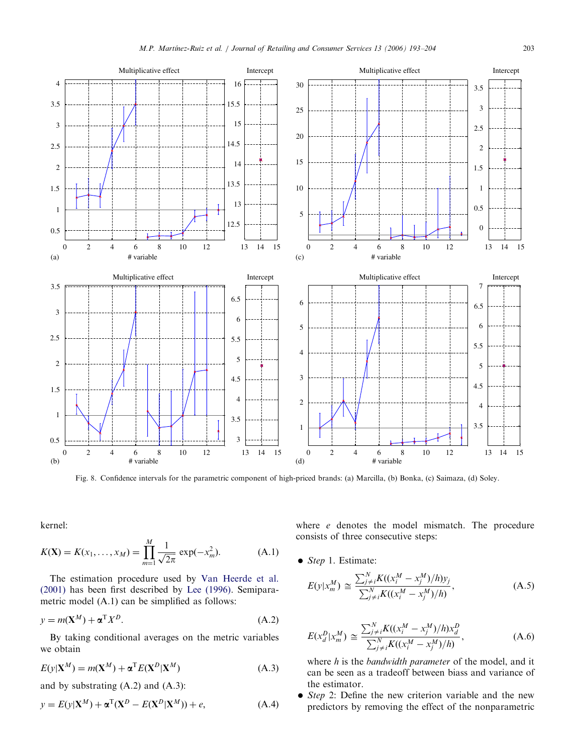

Fig. 8. Confidence intervals for the parametric component of high-priced brands: (a) Marcilla, (b) Bonka, (c) Saimaza, (d) Soley.

kernel:

$$
K(\mathbf{X}) = K(x_1, \dots, x_M) = \prod_{m=1}^{M} \frac{1}{\sqrt{2\pi}} \exp(-x_m^2).
$$
 (A.1)

The estimation procedure used by [Van Heerde et al.](#page-11-0) [\(2001\)](#page-11-0) has been first described by [Lee \(1996\)](#page-11-0). Semiparametric model (A.1) can be simplified as follows:

$$
y = m(\mathbf{X}^M) + \mathbf{\alpha}^{\mathrm{T}} X^D. \tag{A.2}
$$

By taking conditional averages on the metric variables we obtain

$$
E(y|\mathbf{X}^{M}) = m(\mathbf{X}^{M}) + \alpha^{T} E(\mathbf{X}^{D}|\mathbf{X}^{M})
$$
\n(A.3)

and by substrating (A.2) and (A.3):

$$
y = E(y|\mathbf{X}^{M}) + \alpha^{T}(\mathbf{X}^{D} - E(\mathbf{X}^{D}|\mathbf{X}^{M})) + e,
$$
 (A.4)

where *e* denotes the model mismatch. The procedure consists of three consecutive steps:

● Step 1. Estimate:

$$
E(y|x_m^M) \cong \frac{\sum_{j \neq i}^N K((x_i^M - x_j^M)/h)y_j}{\sum_{j \neq i}^N K((x_i^M - x_j^M)/h)},
$$
(A.5)

$$
E(x_d^D | x_m^M) \cong \frac{\sum_{j \neq i}^N K((x_i^M - x_j^M)/h) x_d^D}{\sum_{j \neq i}^N K((x_i^M - x_j^M)/h)},
$$
(A.6)

where  $h$  is the *bandwidth parameter* of the model, and it can be seen as a tradeoff between biass and variance of the estimator.

• Step 2: Define the new criterion variable and the new predictors by removing the effect of the nonparametric